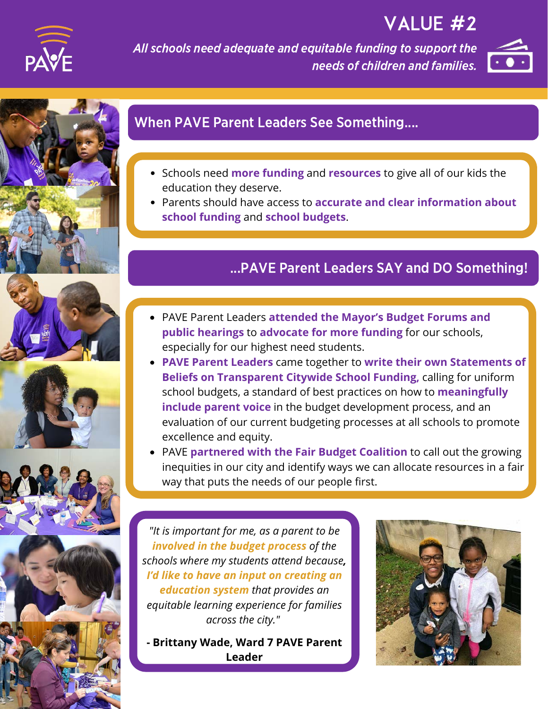

# VALUE #2

All schools need adequate and equitable funding to support the needs of children and families.













## When PAVE Parent Leaders See Something....

- Schools need **more funding** and **resources** to give all of our kids the education they deserve.
- Parents should have access to **accurate and clear information about school funding** and **school budgets**.

## ...PAVE Parent Leaders SAY and DO Something!

- **OUTCOMES** PAVE Parent Leaders **attended the Mayor's Budget Forums and public hearings** to **advocate for more funding** for our schools, especially for our highest need students.
- **PAVE Parent Leaders** came together to **write their own Statements of Beliefs on Transparent Citywide School Funding,** calling for uniform school budgets, a standard of best practices on how to **meaningfully include parent voice** in the budget development process, and an evaluation of our current budgeting processes at all schools to promote excellence and equity.
- PAVE **partnered with the Fair Budget Coalition** to call out the growing inequities in our city and identify ways we can allocate resources in a fair way that puts the needs of our people first.

*"It is important for me, as a parent to be involved in the budget process of the schools where my students attend because, I'd like to have an input on creating an education system that provides an equitable learning experience for families across the city."*

**- Brittany Wade, Ward 7 PAVE Parent Leader**